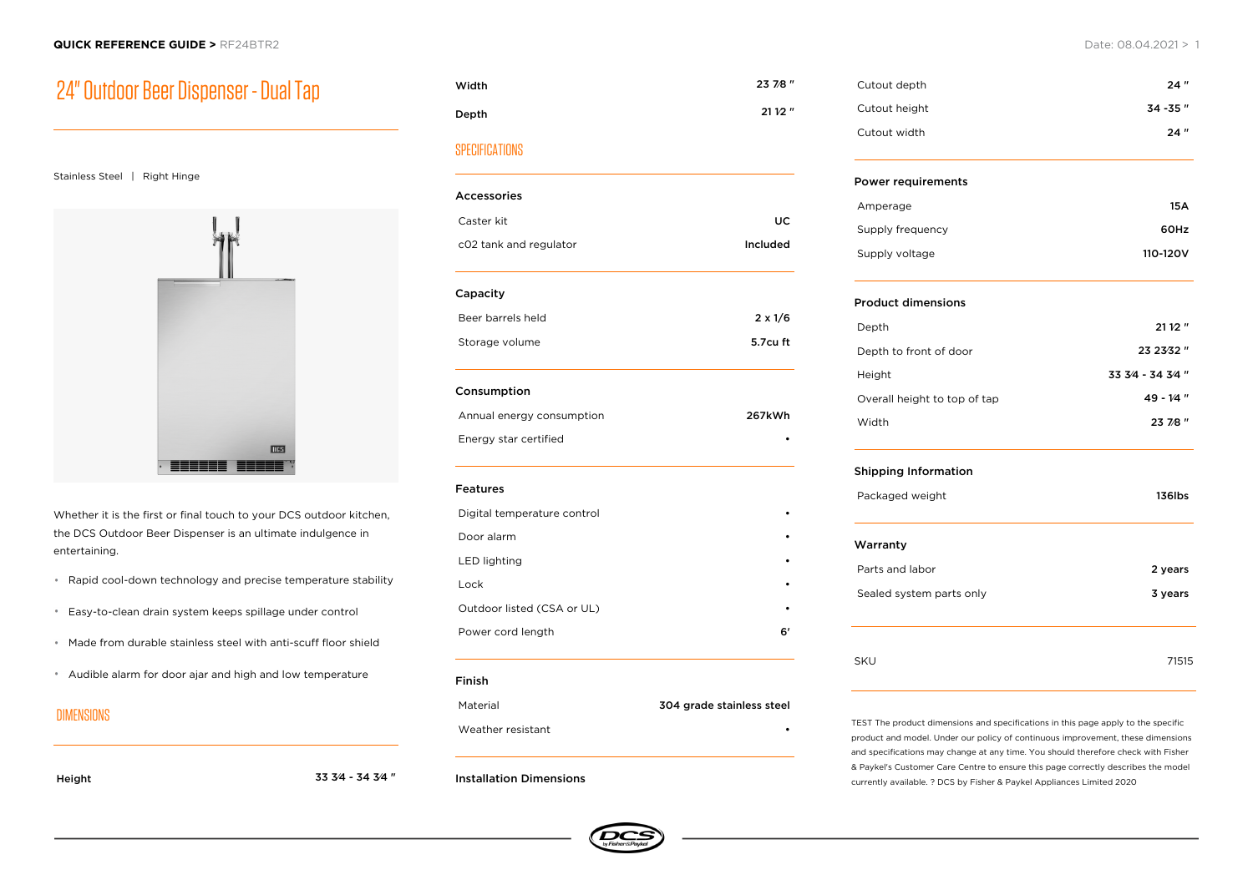## 24" Outdoor Beer Dispenser - Dual Tap

#### Stainless Steel | Right Hinge



Whether it is the first or final touch to your DCS outdoor kitchen, the DCS Outdoor Beer Dispenser is an ultimate indulgence in entertaining.

- Rapid cool-down technology and precise temperature stability
- Easy-to-clean drain system keeps spillage under control
- Made from durable stainless steel with anti-scuff floor shield
- Audible alarm for door ajar and high and low temperature

### DIMENSIONS

Height 33 3⁄4 - 34 3⁄4 "

Width 23 7⁄8 " Depth 21 1⁄2 "

## **SPECIFICATIONS**

| <b>Accessories</b>          |                |
|-----------------------------|----------------|
| Caster kit                  | UC             |
|                             |                |
| c02 tank and regulator      | Included       |
| Capacity                    |                |
| Beer barrels held           | $2 \times 1/6$ |
| Storage volume              | 5.7cu ft       |
| Consumption                 |                |
| Annual energy consumption   | 267kWh         |
| Energy star certified       |                |
| <b>Features</b>             |                |
| Digital temperature control |                |
| Door alarm                  |                |
| <b>LED lighting</b>         |                |
| Lock                        |                |
| Outdoor listed (CSA or UL)  |                |
| Power cord length           | 6'             |

#### Finish

Material 304 grade stainless steel

Weather resistant

#### Installation Dimensions



| Cutout depth  | 24"       |
|---------------|-----------|
| Cutout height | 34 - 35 " |
| Cutout width  | 24"       |

#### Power requirements

| Amperage         | 15 A     |
|------------------|----------|
| Supply frequency | 60Hz     |
| Supply voltage   | 110-120V |

### Product dimensions

| Depth                        | 2112''            |
|------------------------------|-------------------|
| Depth to front of door       | 23 23 32 "        |
| Height                       | 33 3/4 - 34 3/4 " |
| Overall height to top of tap | $49 - 1/4$ "      |
| Width                        | 23 7/8 "          |

#### Shipping Information

Packaged weight 136lbs

# Warranty Parts and labor 2 years 2 years 2 years 2 years 2 years 2 years 2 years 2 years 2 years 2 years 2 years 2 years 2 years 2 years 2 years 2 years 2 years 2 years 2 years 2 years 2 years 2 years 2 years 2 years 2 years 2 year

| Sealed system parts only | 3 years |
|--------------------------|---------|
|                          |         |
| SKU                      | 71515   |

TEST The product dimensions and specifications in this page apply to the specific product and model. Under our policy of continuous improvement, these dimensions and specifications may change at any time. You should therefore check with Fisher & Paykel's Customer Care Centre to ensure this page correctly describes the model currently available. ? DCS by Fisher & Paykel Appliances Limited 2020